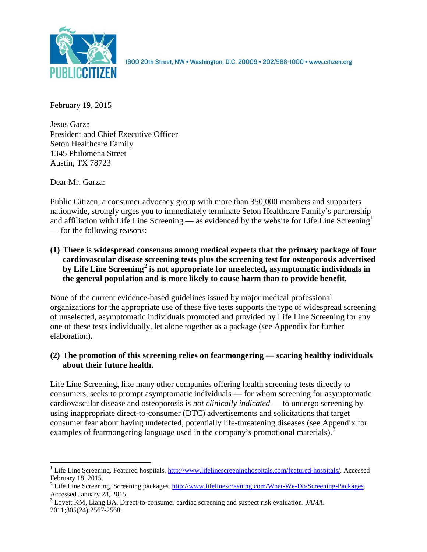

1600 20th Street, NW . Washington, D.C. 20009 . 202/588-1000 . www.citizen.org

February 19, 2015

Jesus Garza President and Chief Executive Officer Seton Healthcare Family 1345 Philomena Street Austin, TX 78723

Dear Mr. Garza:

Public Citizen, a consumer advocacy group with more than 350,000 members and supporters nationwide, strongly urges you to immediately terminate Seton Healthcare Family's partnership and affiliation with Life Line Screening — as evidenced by the website for Life Line Screening<sup>[1](#page-0-0)</sup> — for the following reasons:

**(1) There is widespread consensus among medical experts that the primary package of four cardiovascular disease screening tests plus the screening test for osteoporosis advertised by Life Line Screening[2](#page-0-1) is not appropriate for unselected, asymptomatic individuals in the general population and is more likely to cause harm than to provide benefit.**

None of the current evidence-based guidelines issued by major medical professional organizations for the appropriate use of these five tests supports the type of widespread screening of unselected, asymptomatic individuals promoted and provided by Life Line Screening for any one of these tests individually, let alone together as a package (see Appendix for further elaboration).

# **(2) The promotion of this screening relies on fearmongering — scaring healthy individuals about their future health.**

Life Line Screening, like many other companies offering health screening tests directly to consumers, seeks to prompt asymptomatic individuals — for whom screening for asymptomatic cardiovascular disease and osteoporosis is *not clinically indicated* — to undergo screening by using inappropriate direct-to-consumer (DTC) advertisements and solicitations that target consumer fear about having undetected, potentially life-threatening diseases (see Appendix for examples of fearmongering language used in the company's promotional materials).<sup>[3](#page-0-2)</sup>

<span id="page-0-0"></span><sup>&</sup>lt;sup>1</sup> Life Line Screening. Featured hospitals. [http://www.lifelinescreeninghospitals.com/featured-hospitals/.](http://www.lifelinescreeninghospitals.com/featured-hospitals/) Accessed

<span id="page-0-1"></span>February 18, 2015.<br><sup>2</sup> Life Line Screening. Screening packages. [http://www.lifelinescreening.com/What-We-Do/Screening-Packages.](http://www.lifelinescreening.com/What-We-Do/Screening-Packages)<br>Accessed January 28, 2015.

<span id="page-0-2"></span><sup>&</sup>lt;sup>3</sup> Lovett KM, Liang BA. Direct-to-consumer cardiac screening and suspect risk evaluation. *JAMA*. 2011;305(24):2567-2568.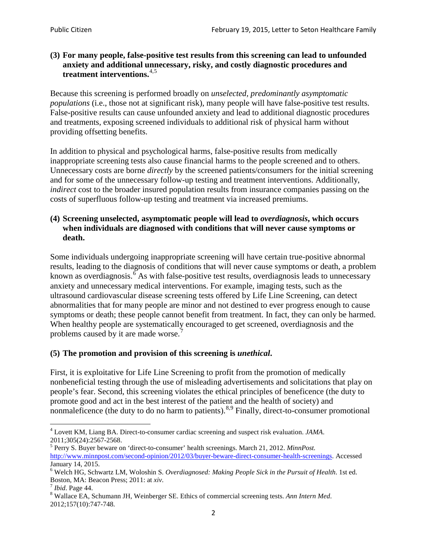## **(3) For many people, false-positive test results from this screening can lead to unfounded anxiety and additional unnecessary, risky, and costly diagnostic procedures and treatment interventions.**[4](#page-1-0),[5](#page-1-1)

Because this screening is performed broadly on *unselected, predominantly asymptomatic populations* (i.e., those not at significant risk), many people will have false**-**positive test results. False-positive results can cause unfounded anxiety and lead to additional diagnostic procedures and treatments, exposing screened individuals to additional risk of physical harm without providing offsetting benefits.

In addition to physical and psychological harms, false-positive results from medically inappropriate screening tests also cause financial harms to the people screened and to others. Unnecessary costs are borne *directly* by the screened patients/consumers for the initial screening and for some of the unnecessary follow-up testing and treatment interventions. Additionally, *indirect* cost to the broader insured population results from insurance companies passing on the costs of superfluous follow-up testing and treatment via increased premiums.

## **(4) Screening unselected, asymptomatic people will lead to** *overdiagnosis***, which occurs when individuals are diagnosed with conditions that will never cause symptoms or death.**

Some individuals undergoing inappropriate screening will have certain true-positive abnormal results, leading to the diagnosis of conditions that will never cause symptoms or death, a problem known as overdiagnosis.<sup>[6](#page-1-2)</sup> As with false-positive test results, overdiagnosis leads to unnecessary anxiety and unnecessary medical interventions. For example, imaging tests, such as the ultrasound cardiovascular disease screening tests offered by Life Line Screening, can detect abnormalities that for many people are minor and not destined to ever progress enough to cause symptoms or death; these people cannot benefit from treatment. In fact, they can only be harmed. When healthy people are systematically encouraged to get screened, overdiagnosis and the problems caused by it are made worse.<sup>[7](#page-1-3)</sup>

# **(5) The promotion and provision of this screening is** *unethical***.**

First, it is exploitative for Life Line Screening to profit from the promotion of medically nonbeneficial testing through the use of misleading advertisements and solicitations that play on people's fear. Second, this screening violates the ethical principles of beneficence (the duty to promote good and act in the best interest of the patient and the health of society) and nonmaleficence (the duty to do no harm to patients).  $8.9$  $8.9$  $8.9$  Finally, direct-to-consumer promotional

<span id="page-1-4"></span>2012;157(10):747-748.

<span id="page-1-5"></span><span id="page-1-0"></span><sup>4</sup> Lovett KM, Liang BA. Direct-to-consumer cardiac screening and suspect risk evaluation. *JAMA*.

<span id="page-1-1"></span><sup>2011;305(24):2567-2568.</sup> <sup>5</sup> Perry S. Buyer beware on 'direct-to-consumer' health screenings. March 21, 2012. *MinnPost.*  [http://www.minnpost.com/second-opinion/2012/03/buyer-beware-direct-consumer-health-screenings.](http://www.minnpost.com/second-opinion/2012/03/buyer-beware-direct-consumer-health-screenings) Accessed January 14, 2015.

<span id="page-1-2"></span><sup>6</sup> Welch HG, Schwartz LM, Woloshin S. *Overdiagnosed: Making People Sick in the Pursuit of Health*. 1st ed. Boston, MA: Beacon Press; 2011: at *xiv*.<br><sup>7</sup> *Ibid*. Page 44.<br><sup>8</sup> Wallace EA, Schumann JH, Weinberger SE. Ethics of commercial screening tests. *Ann Intern Med*.

<span id="page-1-3"></span>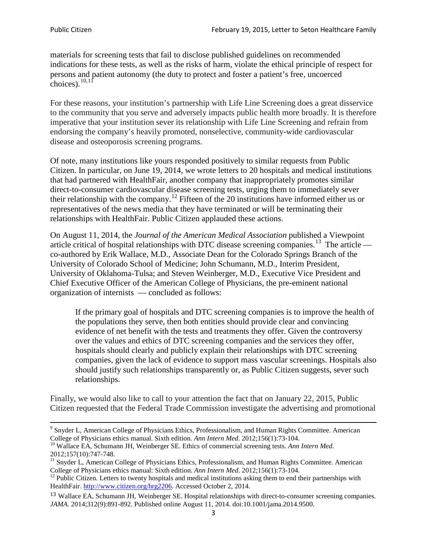materials for screening tests that fail to disclose published guidelines on recommended indications for these tests, as well as the risks of harm, violate the ethical principle of respect for persons and patient autonomy (the duty to protect and foster a patient's free, uncoerced choices). $\frac{10,11}{10,11}$  $\frac{10,11}{10,11}$  $\frac{10,11}{10,11}$  $\frac{10,11}{10,11}$ 

For these reasons, your institution's partnership with Life Line Screening does a great disservice to the community that you serve and adversely impacts public health more broadly. It is therefore imperative that your institution sever its relationship with Life Line Screening and refrain from endorsing the company's heavily promoted, nonselective, community**-**wide cardiovascular disease and osteoporosis screening programs.

Of note, many institutions like yours responded positively to similar requests from Public Citizen. In particular, on June 19, 2014, we wrote letters to 20 hospitals and medical institutions that had partnered with HealthFair, another company that inappropriately promotes similar direct-to-consumer cardiovascular disease screening tests, urging them to immediately sever their relationship with the company. [12](#page-2-2) Fifteen of the 20 institutions have informed either us or representatives of the news media that they have terminated or will be terminating their relationships with HealthFair. Public Citizen applauded these actions.

On August 11, 2014, the *Journal of the American Medical Association* published a Viewpoint article critical of hospital relationships with DTC disease screening companies.<sup>13</sup> The article co-authored by Erik Wallace, M.D., Associate Dean for the Colorado Springs Branch of the University of Colorado School of Medicine; John Schumann, M.D., Interim President, University of Oklahoma-Tulsa; and Steven Weinberger, M.D., Executive Vice President and Chief Executive Officer of the American College of Physicians, the pre**-**eminent national organization of internists — concluded as follows:

If the primary goal of hospitals and DTC screening companies is to improve the health of the populations they serve, then both entities should provide clear and convincing evidence of net benefit with the tests and treatments they offer. Given the controversy over the values and ethics of DTC screening companies and the services they offer, hospitals should clearly and publicly explain their relationships with DTC screening companies, given the lack of evidence to support mass vascular screenings. Hospitals also should justify such relationships transparently or, as Public Citizen suggests, sever such relationships.

Finally, we would also like to call to your attention the fact that on January 22, 2015, Public Citizen requested that the Federal Trade Commission investigate the advertising and promotional

<sup>&</sup>lt;sup>9</sup> Snyder L, American College of Physicians Ethics, Professionalism, and Human Rights Committee. American College of Physicians ethics manual. Sixth edition. Ann Intern Med. 2012;156(1):73-104.

<span id="page-2-0"></span><sup>&</sup>lt;sup>10</sup> Wallace EA, Schumann JH, Weinberger SE. Ethics of commercial screening tests. *Ann Intern Med*. 2012;157(10):747-748.

<span id="page-2-1"></span> $11$  Snyder L, American College of Physicians Ethics, Professionalism, and Human Rights Committee. American College of Physicians ethics manual: Sixth edition. *Ann Intern Med*. 2012;156(1):73-104.<br><sup>12</sup> Public Citizen. Letters to twenty hospitals and medical institutions asking them to end their partnerships with

<span id="page-2-2"></span>HealthFair. [http://www.citizen.org/hrg2206.](http://www.citizen.org/hrg2206) Accessed October 2, 2014.

<span id="page-2-3"></span><sup>13</sup> Wallace EA, Schumann JH, Weinberger SE. Hospital relationships with direct-to-consumer screening companies. *JAMA*. 2014;312(9):891-892. Published online August 11, 2014. doi:10.1001/jama.2014.9500.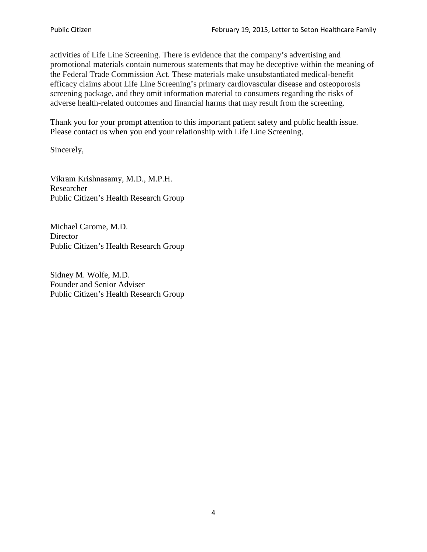activities of Life Line Screening. There is evidence that the company's advertising and promotional materials contain numerous statements that may be deceptive within the meaning of the Federal Trade Commission Act. These materials make unsubstantiated medical-benefit efficacy claims about Life Line Screening's primary cardiovascular disease and osteoporosis screening package, and they omit information material to consumers regarding the risks of adverse health-related outcomes and financial harms that may result from the screening.

Thank you for your prompt attention to this important patient safety and public health issue. Please contact us when you end your relationship with Life Line Screening.

Sincerely,

Vikram Krishnasamy, M.D., M.P.H. Researcher Public Citizen's Health Research Group

Michael Carome, M.D. **Director** Public Citizen's Health Research Group

Sidney M. Wolfe, M.D. Founder and Senior Adviser Public Citizen's Health Research Group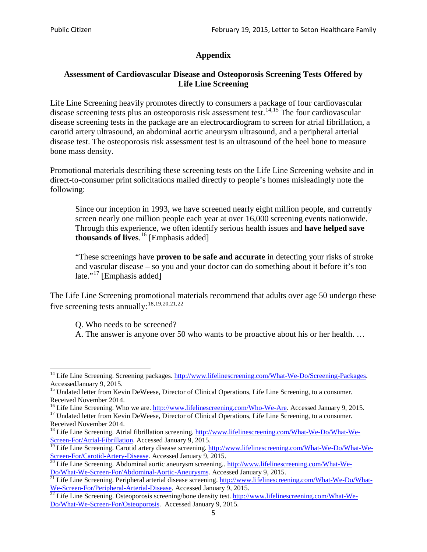# **Appendix**

## **Assessment of Cardiovascular Disease and Osteoporosis Screening Tests Offered by Life Line Screening**

Life Line Screening heavily promotes directly to consumers a package of four cardiovascular disease screening tests plus an osteoporosis risk assessment test.<sup>[14](#page-4-0),[15](#page-4-1)</sup> The four cardiovascular disease screening tests in the package are an electrocardiogram to screen for atrial fibrillation, a carotid artery ultrasound, an abdominal aortic aneurysm ultrasound, and a peripheral arterial disease test. The osteoporosis risk assessment test is an ultrasound of the heel bone to measure bone mass density.

Promotional materials describing these screening tests on the Life Line Screening website and in direct-to-consumer print solicitations mailed directly to people's homes misleadingly note the following:

Since our inception in 1993, we have screened nearly eight million people, and currently screen nearly one million people each year at over 16,000 screening events nationwide. Through this experience, we often identify serious health issues and **have helped save thousands of lives**. [16](#page-4-2) [Emphasis added]

"These screenings have **proven to be safe and accurate** in detecting your risks of stroke and vascular disease – so you and your doctor can do something about it before it's too late."<sup>[17](#page-4-3)</sup> [Emphasis added]

The Life Line Screening promotional materials recommend that adults over age 50 undergo these five screening tests annually:<sup>[18](#page-4-4),[19,](#page-4-5)[20,](#page-4-6)[21](#page-4-7),[22](#page-4-8)</sup>

Q. Who needs to be screened?

A. The answer is anyone over 50 who wants to be proactive about his or her health. …

<span id="page-4-0"></span><sup>&</sup>lt;sup>14</sup> Life Line Screening. Screening packages. [http://www.lifelinescreening.com/What-We-Do/Screening-Packages.](http://www.lifelinescreening.com/What-We-Do/Screening-Packages) AccessedJanuary 9, 2015.

<span id="page-4-1"></span><sup>&</sup>lt;sup>15</sup> Undated letter from Kevin DeWeese, Director of Clinical Operations, Life Line Screening, to a consumer.

Received November 2014.<br><sup>16</sup> Life Line Screening. Who we are. http://www.lifelinescreening.com/Who-We-Are. Accessed January 9, 2015.

<span id="page-4-3"></span><span id="page-4-2"></span><sup>&</sup>lt;sup>17</sup> Undated letter from Kevin DeWeese, Director of Clinical Operations, Life Line Screening, to a consumer. Received November 2014.

<span id="page-4-4"></span><sup>&</sup>lt;sup>18</sup> Life Line Screening. Atrial fibrillation screening. [http://www.lifelinescreening.com/What-We-Do/What-We-](http://www.lifelinescreening.com/What-We-Do/What-We-Screen-For/Atrial-Fibrillation)[Screen-For/Atrial-Fibrillation.](http://www.lifelinescreening.com/What-We-Do/What-We-Screen-For/Atrial-Fibrillation) Accessed January 9, 2015.

<sup>&</sup>lt;sup>19</sup> Life Line Screening. Carotid artery disease screening. [http://www.lifelinescreening.com/What-We-Do/What-We-](http://www.lifelinescreening.com/What-We-Do/What-We-Screen-For/Carotid-Artery-Disease)

<span id="page-4-6"></span><span id="page-4-5"></span>[Screen-For/Carotid-Artery-Disease.](http://www.lifelinescreening.com/What-We-Do/What-We-Screen-For/Carotid-Artery-Disease) Accessed January 9, 2015.<br><sup>20</sup> Life Line Screening. Abdominal aortic aneurysm screening.. http://www.lifelinescreening.com/What-We-Do/What-We-Do/What-We-Screen-For/Abdominal-Aortic-Aneury

<span id="page-4-7"></span><sup>&</sup>lt;sup>21</sup> Life Line Screening. Peripheral arterial disease screening. [http://www.lifelinescreening.com/What-We-Do/What-](http://www.lifelinescreening.com/What-We-Do/What-We-Screen-For/Peripheral-Arterial-Disease)

<span id="page-4-8"></span>[We-Screen-For/Peripheral-Arterial-Disease.](http://www.lifelinescreening.com/What-We-Do/What-We-Screen-For/Peripheral-Arterial-Disease) Accessed January 9, 2015.<br><sup>22</sup> Life Line Screening. Osteoporosis screening/bone density test. [http://www.lifelinescreening.com/What-We-](http://www.lifelinescreening.com/What-We-Do/What-We-Screen-For/Osteoporosis)[Do/What-We-Screen-For/Osteoporosis.](http://www.lifelinescreening.com/What-We-Do/What-We-Screen-For/Osteoporosis) Accessed January 9, 2015.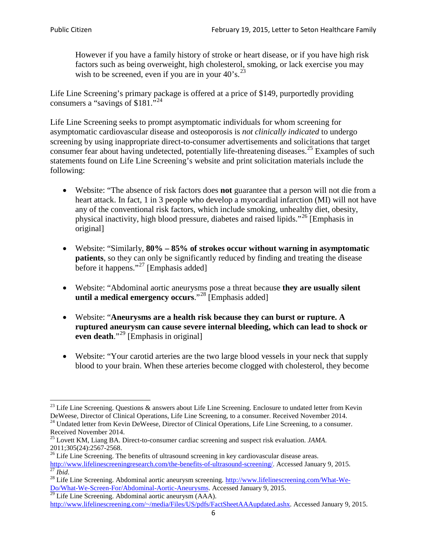However if you have a family history of stroke or heart disease, or if you have high risk factors such as being overweight, high cholesterol, smoking, or lack exercise you may wish to be screened, even if you are in your  $40^{\circ}$ s.<sup>[23](#page-5-0)</sup>

Life Line Screening's primary package is offered at a price of \$149, purportedly providing consumers a "savings of \$181."<sup>[24](#page-5-1)</sup>

Life Line Screening seeks to prompt asymptomatic individuals for whom screening for asymptomatic cardiovascular disease and osteoporosis is *not clinically indicated* to undergo screening by using inappropriate direct-to-consumer advertisements and solicitations that target consumer fear about having undetected, potentially life-threatening diseases.<sup>[25](#page-5-2)</sup> Examples of such statements found on Life Line Screening's website and print solicitation materials include the following:

- Website: "The absence of risk factors does **not** guarantee that a person will not die from a heart attack. In fact, 1 in 3 people who develop a myocardial infarction (MI) will not have any of the conventional risk factors, which include smoking, unhealthy diet, obesity, physical inactivity, high blood pressure, diabetes and raised lipids."[26](#page-5-3) [Emphasis in original]
- Website: "Similarly, **80% – 85% of strokes occur without warning in asymptomatic patients**, so they can only be significantly reduced by finding and treating the disease before it happens."<sup>[27](#page-5-4)</sup> [Emphasis added]
- Website: "Abdominal aortic aneurysms pose a threat because **they are usually silent until a medical emergency occurs**."[28](#page-5-5) [Emphasis added]
- Website: "**Aneurysms are a health risk because they can burst or rupture. A ruptured aneurysm can cause severe internal bleeding, which can lead to shock or even death.**"<sup>[29](#page-5-6)</sup> [Emphasis in original]
- Website: "Your carotid arteries are the two large blood vessels in your neck that supply blood to your brain. When these arteries become clogged with cholesterol, they become

<span id="page-5-0"></span><sup>&</sup>lt;sup>23</sup> Life Line Screening. Questions  $\&$  answers about Life Line Screening. Enclosure to undated letter from Kevin DeWeese, Director of Clinical Operations, Life Line Screening, to a consumer. Received November 2014.

<span id="page-5-1"></span><sup>&</sup>lt;sup>24</sup> Undated letter from Kevin DeWeese, Director of Clinical Operations, Life Line Screening, to a consumer. Received November 2014.

<span id="page-5-2"></span><sup>25</sup> Lovett KM, Liang BA. Direct-to-consumer cardiac screening and suspect risk evaluation. *JAMA*.  $2011;305(24):2567-2568$ .<br><sup>26</sup> Life Line Screening. The benefits of ultrasound screening in key cardiovascular disease areas.

<span id="page-5-3"></span>[http://www.lifelinescreeningresearch.com/the-benefits-of-ultrasound-screening/.](http://www.lifelinescreeningresearch.com/the-benefits-of-ultrasound-screening/) Accessed January 9, 2015.<br><sup>28</sup> Life Line Screening. Abdominal aortic aneurysm screening. http://www.lifelinescreening.com/What-We-<br><sup>28</sup> Life L

<span id="page-5-5"></span><span id="page-5-4"></span>[Do/What-We-Screen-For/Abdominal-Aortic-Aneurysms.](http://www.lifelinescreening.com/What-We-Do/What-We-Screen-For/Abdominal-Aortic-Aneurysms) Accessed January 9, 2015. <sup>29</sup> Life Line Screening. Abdominal aortic aneurysm (AAA).

<span id="page-5-6"></span>[http://www.lifelinescreening.com/~/media/Files/US/pdfs/FactSheetAAAupdated.ashx.](http://www.lifelinescreening.com/~/media/Files/US/pdfs/FactSheetAAAupdated.ashx) Accessed January 9, 2015.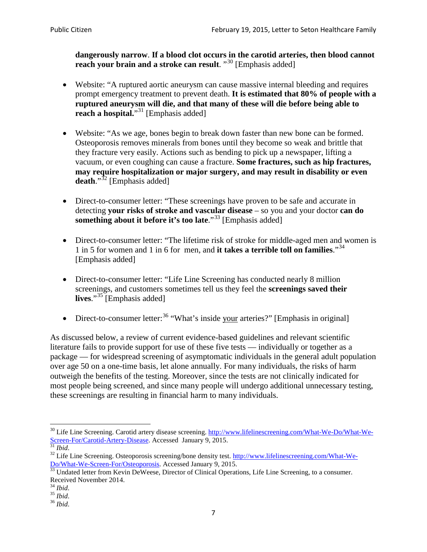**dangerously narrow**. **If a blood clot occurs in the carotid arteries, then blood cannot reach your brain and a stroke can result**. "<sup>[30](#page-6-0)</sup> [Emphasis added]

- Website: "A ruptured aortic aneurysm can cause massive internal bleeding and requires prompt emergency treatment to prevent death. **It is estimated that 80% of people with a ruptured aneurysm will die, and that many of these will die before being able to reach a hospital.**"<sup>[31](#page-6-1)</sup> [Emphasis added]
- Website: "As we age, bones begin to break down faster than new bone can be formed. Osteoporosis removes minerals from bones until they become so weak and brittle that they fracture very easily. Actions such as bending to pick up a newspaper, lifting a vacuum, or even coughing can cause a fracture. **Some fractures, such as hip fractures, may require hospitalization or major surgery, and may result in disability or even**  death."<sup>[32](#page-6-2)</sup> [Emphasis added]
- Direct-to-consumer letter: "These screenings have proven to be safe and accurate in detecting **your risks of stroke and vascular disease** – so you and your doctor **can do something about it before it's too late**."<sup>[33](#page-6-3)</sup> [Emphasis added]
- Direct-to-consumer letter: "The lifetime risk of stroke for middle-aged men and women is 1 in 5 for women and 1 in 6 for men, and **it takes a terrible toll on families**."[34](#page-6-4) [Emphasis added]
- Direct-to-consumer letter: "Life Line Screening has conducted nearly 8 million screenings, and customers sometimes tell us they feel the **screenings saved their lives**."[35](#page-6-5) [Emphasis added]
- Direct-to-consumer letter:  $36$  "What's inside your arteries?" [Emphasis in original]

As discussed below, a review of current evidence-based guidelines and relevant scientific literature fails to provide support for use of these five tests — individually or together as a package — for widespread screening of asymptomatic individuals in the general adult population over age 50 on a one-time basis, let alone annually. For many individuals, the risks of harm outweigh the benefits of the testing. Moreover, since the tests are not clinically indicated for most people being screened, and since many people will undergo additional unnecessary testing, these screenings are resulting in financial harm to many individuals.

<span id="page-6-0"></span><sup>&</sup>lt;sup>30</sup> Life Line Screening. Carotid artery disease screening. [http://www.lifelinescreening.com/What-We-Do/What-We-](http://www.lifelinescreening.com/What-We-Do/What-We-Screen-For/Carotid-Artery-Disease)[Screen-For/Carotid-Artery-Disease.](http://www.lifelinescreening.com/What-We-Do/What-We-Screen-For/Carotid-Artery-Disease) Accessed January 9, 2015.<br><sup>31</sup> *Ibid.* 32 Life Line Screening. Osteoporosis screening/bone density test. [http://www.lifelinescreening.com/What-We-](http://www.lifelinescreening.com/What-We-Do/What-We-Screen-For/Osteoporosis)

<span id="page-6-2"></span><span id="page-6-1"></span>[Do/What-We-Screen-For/Osteoporosis.](http://www.lifelinescreening.com/What-We-Do/What-We-Screen-For/Osteoporosis) Accessed January 9, 2015. <sup>33</sup> Undated letter from Kevin DeWeese, Director of Clinical Operations, Life Line Screening, to a consumer.

<span id="page-6-3"></span>Received November 2014.<br><sup>34</sup> Ibid.

<span id="page-6-4"></span>

<span id="page-6-5"></span><sup>34</sup> *Ibid*. 35 *Ibid*. 36 *Ibid*.

<span id="page-6-6"></span>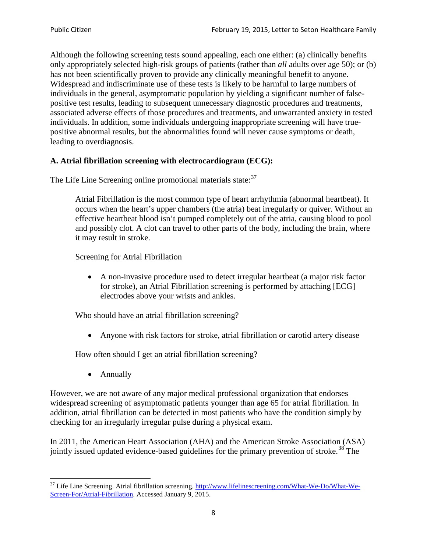Although the following screening tests sound appealing, each one either: (a) clinically benefits only appropriately selected high-risk groups of patients (rather than *all* adults over age 50); or (b) has not been scientifically proven to provide any clinically meaningful benefit to anyone. Widespread and indiscriminate use of these tests is likely to be harmful to large numbers of individuals in the general, asymptomatic population by yielding a significant number of falsepositive test results, leading to subsequent unnecessary diagnostic procedures and treatments, associated adverse effects of those procedures and treatments, and unwarranted anxiety in tested individuals. In addition, some individuals undergoing inappropriate screening will have truepositive abnormal results, but the abnormalities found will never cause symptoms or death, leading to overdiagnosis.

## **A. Atrial fibrillation screening with electrocardiogram (ECG):**

The Life Line Screening online promotional materials state:<sup>[37](#page-7-0)</sup>

Atrial Fibrillation is the most common type of heart arrhythmia (abnormal heartbeat). It occurs when the heart's upper chambers (the atria) beat irregularly or quiver. Without an effective heartbeat blood isn't pumped completely out of the atria, causing blood to pool and possibly clot. A clot can travel to other parts of the body, including the brain, where it may result in stroke.

Screening for Atrial Fibrillation

• A non-invasive procedure used to detect irregular heartbeat (a major risk factor for stroke), an Atrial Fibrillation screening is performed by attaching [ECG] electrodes above your wrists and ankles.

Who should have an atrial fibrillation screening?

• Anyone with risk factors for stroke, atrial fibrillation or carotid artery disease

How often should I get an atrial fibrillation screening?

• Annually

<span id="page-7-1"></span>However, we are not aware of any major medical professional organization that endorses widespread screening of asymptomatic patients younger than age 65 for atrial fibrillation. In addition, atrial fibrillation can be detected in most patients who have the condition simply by checking for an irregularly irregular pulse during a physical exam.

In 2011, the American Heart Association (AHA) and the American Stroke Association (ASA) jointly issued updated evidence-based guidelines for the primary prevention of stroke.<sup>[38](#page-7-1)</sup> The

<span id="page-7-0"></span><sup>&</sup>lt;sup>37</sup> Life Line Screening. Atrial fibrillation screening. [http://www.lifelinescreening.com/What-We-Do/What-We-](http://www.lifelinescreening.com/What-We-Do/What-We-Screen-For/Atrial-Fibrillation)[Screen-For/Atrial-Fibrillation.](http://www.lifelinescreening.com/What-We-Do/What-We-Screen-For/Atrial-Fibrillation) Accessed January 9, 2015.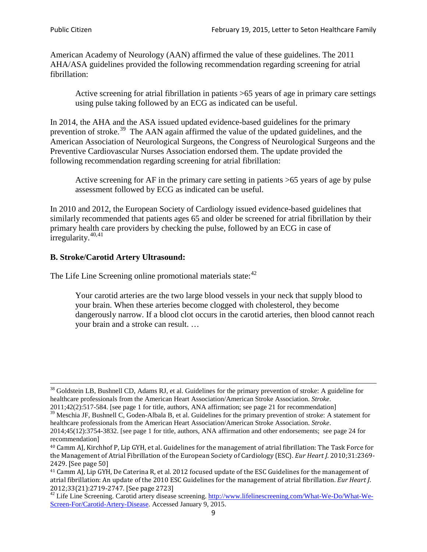American Academy of Neurology (AAN) affirmed the value of these guidelines. The 2011 AHA/ASA guidelines provided the following recommendation regarding screening for atrial fibrillation:

Active screening for atrial fibrillation in patients >65 years of age in primary care settings using pulse taking followed by an ECG as indicated can be useful.

In 2014, the AHA and the ASA issued updated evidence-based guidelines for the primary prevention of stroke.<sup>[39](#page-8-0)</sup> The AAN again affirmed the value of the updated guidelines, and the American Association of Neurological Surgeons, the Congress of Neurological Surgeons and the Preventive Cardiovascular Nurses Association endorsed them. The update provided the following recommendation regarding screening for atrial fibrillation:

Active screening for AF in the primary care setting in patients >65 years of age by pulse assessment followed by ECG as indicated can be useful.

In 2010 and 2012, the European Society of Cardiology issued evidence-based guidelines that similarly recommended that patients ages 65 and older be screened for atrial fibrillation by their primary health care providers by checking the pulse, followed by an ECG in case of irregularity. $40,41$  $40,41$ 

# **B. Stroke/Carotid Artery Ultrasound:**

The Life Line Screening online promotional materials state:<sup>[42](#page-8-3)</sup>

Your carotid arteries are the two large blood vessels in your neck that supply blood to your brain. When these arteries become clogged with cholesterol, they become dangerously narrow. If a blood clot occurs in the carotid arteries, then blood cannot reach your brain and a stroke can result. …

<sup>&</sup>lt;sup>38</sup> Goldstein LB, Bushnell CD, Adams RJ, et al. Guidelines for the primary prevention of stroke: A guideline for healthcare professionals from the American Heart Association/American Stroke Association. *Stroke*.

<sup>2011;42(2):517-584.</sup> [see page 1 for title, authors, ANA affirmation; see page 21 for recommendation]

<span id="page-8-0"></span> $\frac{2011,42(2)(317,601)}{39}$  Meschia JF, Bushnell C, Goden-Albala B, et al. Guidelines for the primary prevention of stroke: A statement for healthcare professionals from the American Heart Association/American Stroke Association. *Stroke*.

<sup>2014;45(12):3754-3832.</sup> [see page 1 for title, authors, ANA affirmation and other endorsements; see page 24 for recommendation]

<span id="page-8-1"></span><sup>40</sup> Camm AJ, Kirchhof P, Lip GYH, et al. Guidelines for the management of atrial fibrillation: The Task Force for the Management of Atrial Fibrillation of the European Society of Cardiology (ESC). *Eur Heart J*. 2010;31:2369- 2429. [See page 50]

<span id="page-8-2"></span><sup>41</sup> Camm AJ, Lip GYH, De Caterina R, et al. 2012 focused update of the ESC Guidelines for the management of atrial fibrillation: An update of the 2010 ESC Guidelines for the management of atrial fibrillation. *Eur Heart J*.

<span id="page-8-3"></span><sup>&</sup>lt;sup>2012</sup>;23(21):2719-2747. [See page 2733] 42 Life Line Screening. [http://www.lifelinescreening.com/What-We-Do/What-We-](http://www.lifelinescreening.com/What-We-Do/What-We-Screen-For/Carotid-Artery-Disease)[Screen-For/Carotid-Artery-Disease.](http://www.lifelinescreening.com/What-We-Do/What-We-Screen-For/Carotid-Artery-Disease) Accessed January 9, 2015.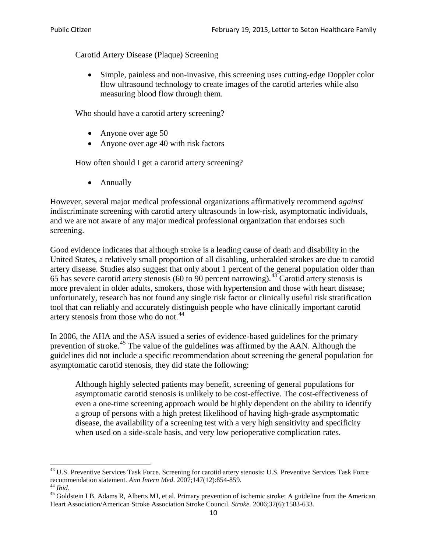Carotid Artery Disease (Plaque) Screening

• Simple, painless and non-invasive, this screening uses cutting-edge Doppler color flow ultrasound technology to create images of the carotid arteries while also measuring blood flow through them.

Who should have a carotid artery screening?

- Anyone over age 50
- Anyone over age 40 with risk factors

How often should I get a carotid artery screening?

• Annually

However, several major medical professional organizations affirmatively recommend *against* indiscriminate screening with carotid artery ultrasounds in low-risk, asymptomatic individuals, and we are not aware of any major medical professional organization that endorses such screening.

Good evidence indicates that although stroke is a leading cause of death and disability in the United States, a relatively small proportion of all disabling, unheralded strokes are due to carotid artery disease. Studies also suggest that only about 1 percent of the general population older than 65 has severe carotid artery stenosis (60 to 90 percent narrowing).<sup>[43](#page-9-0)</sup> Carotid artery stenosis is more prevalent in older adults, smokers, those with hypertension and those with heart disease; unfortunately, research has not found any single risk factor or clinically useful risk stratification tool that can reliably and accurately distinguish people who have clinically important carotid artery stenosis from those who do not.<sup>[44](#page-9-1)</sup>

In 2006, the AHA and the ASA issued a series of evidence-based guidelines for the primary prevention of stroke.<sup>[45](#page-9-2)</sup> The value of the guidelines was affirmed by the AAN. Although the guidelines did not include a specific recommendation about screening the general population for asymptomatic carotid stenosis, they did state the following:

Although highly selected patients may benefit, screening of general populations for asymptomatic carotid stenosis is unlikely to be cost-effective. The cost-effectiveness of even a one-time screening approach would be highly dependent on the ability to identify a group of persons with a high pretest likelihood of having high-grade asymptomatic disease, the availability of a screening test with a very high sensitivity and specificity when used on a side-scale basis, and very low perioperative complication rates.

<span id="page-9-0"></span> $^{43}$  U.S. Preventive Services Task Force. Screening for carotid artery stenosis: U.S. Preventive Services Task Force recommendation statement. Ann Intern Med. 2007;147(12):854-859.

<span id="page-9-2"></span><span id="page-9-1"></span><sup>&</sup>lt;sup>44</sup> *Ibid*. <sup>45</sup> Goldstein LB, Adams R, Alberts MJ, et al. Primary prevention of ischemic stroke: A guideline from the American <sup>45</sup> Goldstein LB, Adams R, Alberts MJ, et al. Primary prevention of ischemic stroke: A guide Heart Association/American Stroke Association Stroke Council. *Stroke*. 2006;37(6):1583-633.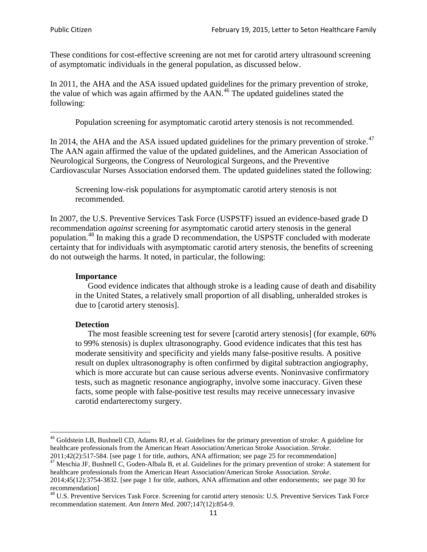These conditions for cost-effective screening are not met for carotid artery ultrasound screening of asymptomatic individuals in the general population, as discussed below.

In 2011, the AHA and the ASA issued updated guidelines for the primary prevention of stroke, the value of which was again affirmed by the  $AAN<sup>46</sup>$  $AAN<sup>46</sup>$  $AAN<sup>46</sup>$ . The updated guidelines stated the following:

Population screening for asymptomatic carotid artery stenosis is not recommended.

In 2014, the AHA and the ASA issued updated guidelines for the primary prevention of stroke.<sup>47</sup> The AAN again affirmed the value of the updated guidelines, and the American Association of Neurological Surgeons, the Congress of Neurological Surgeons, and the Preventive Cardiovascular Nurses Association endorsed them. The updated guidelines stated the following:

Screening low-risk populations for asymptomatic carotid artery stenosis is not recommended.

In 2007, the U.S. Preventive Services Task Force (USPSTF) issued an evidence-based grade D recommendation *against* screening for asymptomatic carotid artery stenosis in the general population.[48](#page-10-2) In making this a grade D recommendation, the USPSTF concluded with moderate certainty that for individuals with asymptomatic carotid artery stenosis, the benefits of screening do not outweigh the harms. It noted, in particular, the following:

#### **Importance**

Good evidence indicates that although stroke is a leading cause of death and disability in the United States, a relatively small proportion of all disabling, unheralded strokes is due to [carotid artery stenosis].

#### **Detection**

The most feasible screening test for severe [carotid artery stenosis] (for example, 60% to 99% stenosis) is duplex ultrasonography. Good evidence indicates that this test has moderate sensitivity and specificity and yields many false-positive results. A positive result on duplex ultrasonography is often confirmed by digital subtraction angiography, which is more accurate but can cause serious adverse events. Noninvasive confirmatory tests, such as magnetic resonance angiography, involve some inaccuracy. Given these facts, some people with false-positive test results may receive unnecessary invasive carotid endarterectomy surgery.

<span id="page-10-0"></span><sup>&</sup>lt;sup>46</sup> Goldstein LB, Bushnell CD, Adams RJ, et al. Guidelines for the primary prevention of stroke: A guideline for healthcare professionals from the American Heart Association/American Stroke Association. *Stroke*.<br>2011;42(2):517-584. [see page 1 for title, authors, ANA affirmation; see page 25 for recommendation]

<span id="page-10-1"></span><sup>&</sup>lt;sup>47</sup> Meschia JF, Bushnell C, Goden-Albala B, et al. Guidelines for the primary prevention of stroke: A statement for healthcare professionals from the American Heart Association/American Stroke Association. *Stroke*. 2014;45(12):3754-3832. [see page 1 for title, authors, ANA affirmation and other endorsements; see page 30 for

recommendation]

<span id="page-10-2"></span><sup>&</sup>lt;sup>48</sup> U.S. Preventive Services Task Force. Screening for carotid artery stenosis: U.S. Preventive Services Task Force recommendation statement. *Ann Intern Med*. 2007;147(12):854-9.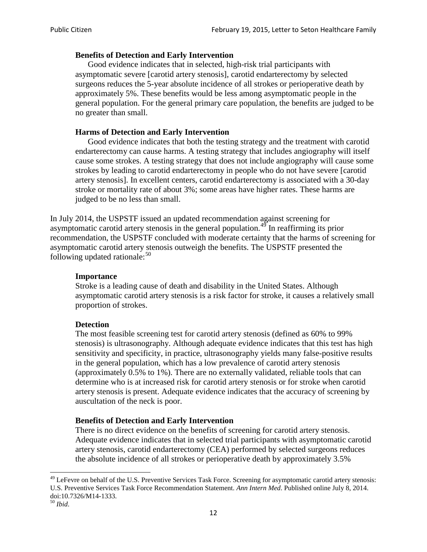#### **Benefits of Detection and Early Intervention**

Good evidence indicates that in selected, high-risk trial participants with asymptomatic severe [carotid artery stenosis], carotid endarterectomy by selected surgeons reduces the 5-year absolute incidence of all strokes or perioperative death by approximately 5%. These benefits would be less among asymptomatic people in the general population. For the general primary care population, the benefits are judged to be no greater than small.

### **Harms of Detection and Early Intervention**

Good evidence indicates that both the testing strategy and the treatment with carotid endarterectomy can cause harms. A testing strategy that includes angiography will itself cause some strokes. A testing strategy that does not include angiography will cause some strokes by leading to carotid endarterectomy in people who do not have severe [carotid artery stenosis]. In excellent centers, carotid endarterectomy is associated with a 30-day stroke or mortality rate of about 3%; some areas have higher rates. These harms are judged to be no less than small.

In July 2014, the USPSTF issued an updated recommendation against screening for asymptomatic carotid artery stenosis in the general population.<sup>[49](#page-11-0)</sup> In reaffirming its prior recommendation, the USPSTF concluded with moderate certainty that the harms of screening for asymptomatic carotid artery stenosis outweigh the benefits. The USPSTF presented the following updated rationale: $50$ 

#### **Importance**

Stroke is a leading cause of death and disability in the United States. Although asymptomatic carotid artery stenosis is a risk factor for stroke, it causes a relatively small proportion of strokes.

#### **Detection**

The most feasible screening test for carotid artery stenosis (defined as 60% to 99% stenosis) is ultrasonography. Although adequate evidence indicates that this test has high sensitivity and specificity, in practice, ultrasonography yields many false-positive results in the general population, which has a low prevalence of carotid artery stenosis (approximately 0.5% to 1%). There are no externally validated, reliable tools that can determine who is at increased risk for carotid artery stenosis or for stroke when carotid artery stenosis is present. Adequate evidence indicates that the accuracy of screening by auscultation of the neck is poor.

#### **Benefits of Detection and Early Intervention**

There is no direct evidence on the benefits of screening for carotid artery stenosis. Adequate evidence indicates that in selected trial participants with asymptomatic carotid artery stenosis, carotid endarterectomy (CEA) performed by selected surgeons reduces the absolute incidence of all strokes or perioperative death by approximately 3.5%

<span id="page-11-0"></span><sup>&</sup>lt;sup>49</sup> LeFevre on behalf of the U.S. Preventive Services Task Force. Screening for asymptomatic carotid artery stenosis: U.S. Preventive Services Task Force Recommendation Statement. *Ann Intern Med*. Published online July 8, 2014. doi:10.7326/M14-1333. <sup>50</sup> *Ibid*.

<span id="page-11-1"></span>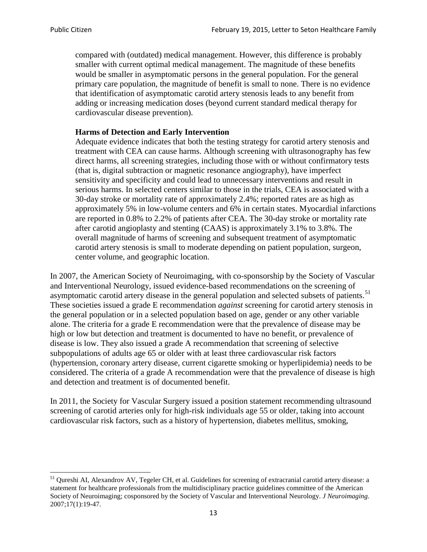compared with (outdated) medical management. However, this difference is probably smaller with current optimal medical management. The magnitude of these benefits would be smaller in asymptomatic persons in the general population. For the general primary care population, the magnitude of benefit is small to none. There is no evidence that identification of asymptomatic carotid artery stenosis leads to any benefit from adding or increasing medication doses (beyond current standard medical therapy for cardiovascular disease prevention).

### **Harms of Detection and Early Intervention**

Adequate evidence indicates that both the testing strategy for carotid artery stenosis and treatment with CEA can cause harms. Although screening with ultrasonography has few direct harms, all screening strategies, including those with or without confirmatory tests (that is, digital subtraction or magnetic resonance angiography), have imperfect sensitivity and specificity and could lead to unnecessary interventions and result in serious harms. In selected centers similar to those in the trials, CEA is associated with a 30-day stroke or mortality rate of approximately 2.4%; reported rates are as high as approximately 5% in low-volume centers and 6% in certain states. Myocardial infarctions are reported in 0.8% to 2.2% of patients after CEA. The 30-day stroke or mortality rate after carotid angioplasty and stenting (CAAS) is approximately 3.1% to 3.8%. The overall magnitude of harms of screening and subsequent treatment of asymptomatic carotid artery stenosis is small to moderate depending on patient population, surgeon, center volume, and geographic location.

In 2007, the American Society of Neuroimaging, with co-sponsorship by the Society of Vascular and Interventional Neurology, issued evidence-based recommendations on the screening of asymptomatic carotid artery disease in the general population and selected subsets of patients.<sup>[51](#page-12-0)</sup> These societies issued a grade E recommendation *against* screening for carotid artery stenosis in the general population or in a selected population based on age, gender or any other variable alone. The criteria for a grade E recommendation were that the prevalence of disease may be high or low but detection and treatment is documented to have no benefit, or prevalence of disease is low. They also issued a grade A recommendation that screening of selective subpopulations of adults age 65 or older with at least three cardiovascular risk factors (hypertension, coronary artery disease, current cigarette smoking or hyperlipidemia) needs to be considered. The criteria of a grade A recommendation were that the prevalence of disease is high and detection and treatment is of documented benefit.

In 2011, the Society for Vascular Surgery issued a position statement recommending ultrasound screening of carotid arteries only for high-risk individuals age 55 or older, taking into account cardiovascular risk factors, such as a history of hypertension, diabetes mellitus, smoking,

<span id="page-12-0"></span><sup>&</sup>lt;sup>51</sup> Oureshi AI, Alexandrov AV, Tegeler CH, et al. Guidelines for screening of extracranial carotid artery disease: a statement for healthcare professionals from the multidisciplinary practice guidelines committee of the American Society of Neuroimaging; cosponsored by the Society of Vascular and Interventional Neurology. *J Neuroimaging*. 2007;17(1):19-47.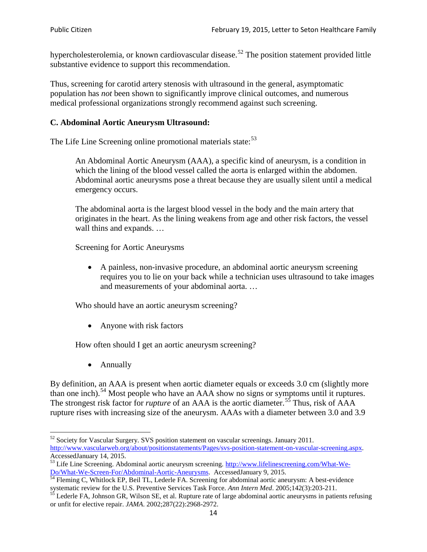hypercholesterolemia, or known cardiovascular disease.<sup>[52](#page-13-0)</sup> The position statement provided little substantive evidence to support this recommendation.

Thus, screening for carotid artery stenosis with ultrasound in the general, asymptomatic population has *not* been shown to significantly improve clinical outcomes, and numerous medical professional organizations strongly recommend against such screening.

### **C. Abdominal Aortic Aneurysm Ultrasound:**

The Life Line Screening online promotional materials state:<sup>[53](#page-13-1)</sup>

An Abdominal Aortic Aneurysm (AAA), a specific kind of aneurysm, is a condition in which the lining of the blood vessel called the aorta is enlarged within the abdomen. Abdominal aortic aneurysms pose a threat because they are usually silent until a medical emergency occurs.

The abdominal aorta is the largest blood vessel in the body and the main artery that originates in the heart. As the lining weakens from age and other risk factors, the vessel wall thins and expands. …

Screening for Aortic Aneurysms

• A painless, non-invasive procedure, an abdominal aortic aneurysm screening requires you to lie on your back while a technician uses ultrasound to take images and measurements of your abdominal aorta. …

Who should have an aortic aneurysm screening?

• Anyone with risk factors

How often should I get an aortic aneurysm screening?

• Annually

By definition, an AAA is present when aortic diameter equals or exceeds 3.0 cm (slightly more than one inch).<sup>[54](#page-13-2)</sup> Most people who have an AAA show no signs or symptoms until it ruptures. The strongest risk factor for *rupture* of an AAA is the aortic diameter.<sup>[55](#page-13-3)</sup> Thus, risk of AAA rupture rises with increasing size of the aneurysm. AAAs with a diameter between 3.0 and 3.9

<span id="page-13-0"></span> $52$  Society for Vascular Surgery. SVS position statement on vascular screenings. January 2011. http://www.vascularweb.org/about/positionstatements/Pages/svs-position-statement-on-vascular-screening.aspx.<br>Accessed January 14, 2015.

<span id="page-13-1"></span>Accessed Line Screening. Abdominal aortic aneurysm screening. http://www.lifelinescreening.com/What-We-<br>Do/What-We-Screen-For/Abdominal-Aortic-Aneurysms. Accessed January 9, 2015.

<span id="page-13-2"></span> $\frac{1}{54}$  Fleming C, Whitlock EP, Beil TL, Lederle FA. Screening for abdominal aortic aneurysm: A best-evidence systematic review for the U.S. Preventive Services Task Force. *Ann Intern Med.* 2005;142(3):203-211.<br><sup>55</sup> Lederle FA, Johnson GR, Wilson SE, et al. Rupture rate of large abdominal aortic aneurysms in patients refusing

<span id="page-13-3"></span>or unfit for elective repair. *JAMA*. 2002;287(22):2968-2972.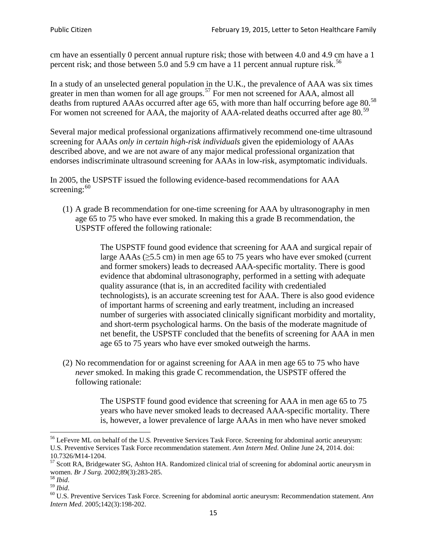cm have an essentially 0 percent annual rupture risk; those with between 4.0 and 4.9 cm have a 1 percent risk; and those between 5.0 and 5.9 cm have a 11 percent annual rupture risk.<sup>[56](#page-14-0)</sup>

In a study of an unselected general population in the U.K., the prevalence of AAA was six times greater in men than women for all age groups.<sup>[57](#page-14-1)</sup> For men not screened for  $AAA$ , almost all deaths from ruptured AAAs occurred after age 65, with more than half occurring before age 80.<sup>[58](#page-14-2)</sup> For women not screened for AAA, the majority of AAA-related deaths occurred after age 80.<sup>[59](#page-14-3)</sup>

Several major medical professional organizations affirmatively recommend one-time ultrasound screening for AAAs *only in certain high-risk individuals* given the epidemiology of AAAs described above, and we are not aware of any major medical professional organization that endorses indiscriminate ultrasound screening for AAAs in low-risk, asymptomatic individuals.

In 2005, the USPSTF issued the following evidence-based recommendations for AAA screening: $60$ 

(1) A grade B recommendation for one-time screening for AAA by ultrasonography in men age 65 to 75 who have ever smoked. In making this a grade [B recommendation,](http://www.uspreventiveservicestaskforce.org/uspstf/gradespre.htm#brec) the USPSTF offered the following rationale:

> The USPSTF found good evidence that screening for AAA and surgical repair of large AAAs ( $\geq$ 5.5 cm) in men age 65 to 75 years who have ever smoked (current and former smokers) leads to decreased AAA-specific mortality. There is good evidence that abdominal ultrasonography, performed in a setting with adequate quality assurance (that is, in an accredited facility with credentialed technologists), is an accurate screening test for AAA. There is also good evidence of important harms of screening and early treatment, including an increased number of surgeries with associated clinically significant morbidity and mortality, and short-term psychological harms. On the basis of the moderate magnitude of net benefit, the USPSTF concluded that the benefits of screening for AAA in men age 65 to 75 years who have ever smoked outweigh the harms.

(2) No recommendation for or against screening for AAA in men age 65 to 75 who have *never* smoked. In making this grade C recommendation, the USPSTF offered the following rationale:

> The USPSTF found good evidence that screening for AAA in men age 65 to 75 years who have never smoked leads to decreased AAA-specific mortality. There is, however, a lower prevalence of large AAAs in men who have never smoked

<span id="page-14-0"></span><sup>&</sup>lt;sup>56</sup> LeFevre ML on behalf of the U.S. Preventive Services Task Force. Screening for abdominal aortic aneurysm: U.S. Preventive Services Task Force recommendation statement. *Ann Intern Med*. Online June 24, 2014. doi:

<span id="page-14-1"></span><sup>10.7326/</sup>M14-1204.<br> $57$  Scott RA, Bridgewater SG, Ashton HA. Randomized clinical trial of screening for abdominal aortic aneurysm in women. *Br J Surg.* 2002;89(3):283-285.

<span id="page-14-4"></span><span id="page-14-3"></span>

<span id="page-14-2"></span><sup>&</sup>lt;sup>58</sup> *Ibid.*<br><sup>59</sup> *Ibid.* 2002;<br><sup>60</sup> U.S. Preventive Services Task Force. Screening for abdominal aortic aneurysm: Recommendation statement. *Ann Intern Med*. 2005;142(3):198-202.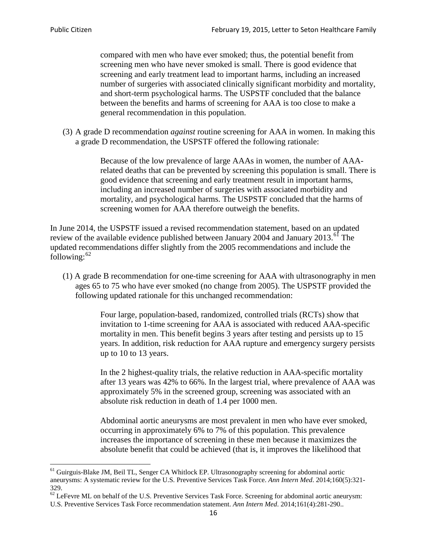compared with men who have ever smoked; thus, the potential benefit from screening men who have never smoked is small. There is good evidence that screening and early treatment lead to important harms, including an increased number of surgeries with associated clinically significant morbidity and mortality, and short-term psychological harms. The USPSTF concluded that the balance between the benefits and harms of screening for AAA is too close to make a general recommendation in this population.

(3) A grade D recommendation *against* routine screening for AAA in women. In making this a grade D recommendation, the USPSTF offered the following rationale:

> Because of the low prevalence of large AAAs in women, the number of AAArelated deaths that can be prevented by screening this population is small. There is good evidence that screening and early treatment result in important harms, including an increased number of surgeries with associated morbidity and mortality, and psychological harms. The USPSTF concluded that the harms of screening women for AAA therefore outweigh the benefits.

In June 2014, the USPSTF issued a revised recommendation statement, based on an updated review of the available evidence published between January 2004 and January 2013.<sup>[61](#page-15-0)</sup> The updated recommendations differ slightly from the 2005 recommendations and include the following: $62$ 

(1) A grade B recommendation for one-time screening for AAA with ultrasonography in men ages 65 to 75 who have ever smoked (no change from 2005). The USPSTF provided the following updated rationale for this unchanged recommendation:

> Four large, population-based, randomized, controlled trials (RCTs) show that invitation to 1-time screening for AAA is associated with reduced AAA-specific mortality in men. This benefit begins 3 years after testing and persists up to 15 years. In addition, risk reduction for AAA rupture and emergency surgery persists up to 10 to 13 years.

> In the 2 highest-quality trials, the relative reduction in AAA-specific mortality after 13 years was 42% to 66%. In the largest trial, where prevalence of AAA was approximately 5% in the screened group, screening was associated with an absolute risk reduction in death of 1.4 per 1000 men.

Abdominal aortic aneurysms are most prevalent in men who have ever smoked, occurring in approximately 6% to 7% of this population. This prevalence increases the importance of screening in these men because it maximizes the absolute benefit that could be achieved (that is, it improves the likelihood that

<span id="page-15-0"></span><sup>61</sup> Guirguis-Blake JM, Beil TL, Senger CA Whitlock EP. Ultrasonography screening for abdominal aortic aneurysms: A systematic review for the U.S. Preventive Services Task Force. *Ann Intern Med*. 2014;160(5):321- 329.

<span id="page-15-1"></span> $62$  LeFevre ML on behalf of the U.S. Preventive Services Task Force. Screening for abdominal aortic aneurysm: U.S. Preventive Services Task Force recommendation statement. *Ann Intern Med*. 2014;161(4):281-290..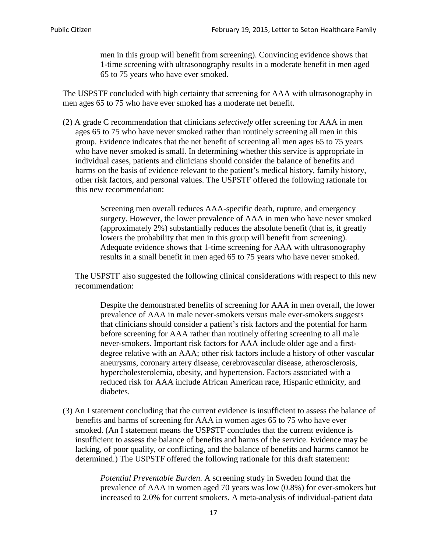men in this group will benefit from screening). Convincing evidence shows that 1-time screening with ultrasonography results in a moderate benefit in men aged 65 to 75 years who have ever smoked.

The USPSTF concluded with high certainty that screening for AAA with ultrasonography in men ages 65 to 75 who have ever smoked has a moderate net benefit.

(2) A grade C recommendation that clinicians *selectively* offer screening for AAA in men ages 65 to 75 who have never smoked rather than routinely screening all men in this group. Evidence indicates that the net benefit of screening all men ages 65 to 75 years who have never smoked is small. In determining whether this service is appropriate in individual cases, patients and clinicians should consider the balance of benefits and harms on the basis of evidence relevant to the patient's medical history, family history, other risk factors, and personal values. The USPSTF offered the following rationale for this new recommendation:

> Screening men overall reduces AAA-specific death, rupture, and emergency surgery. However, the lower prevalence of AAA in men who have never smoked (approximately 2%) substantially reduces the absolute benefit (that is, it greatly lowers the probability that men in this group will benefit from screening). Adequate evidence shows that 1-time screening for AAA with ultrasonography results in a small benefit in men aged 65 to 75 years who have never smoked.

The USPSTF also suggested the following clinical considerations with respect to this new recommendation:

Despite the demonstrated benefits of screening for AAA in men overall, the lower prevalence of AAA in male never-smokers versus male ever-smokers suggests that clinicians should consider a patient's risk factors and the potential for harm before screening for AAA rather than routinely offering screening to all male never-smokers. Important risk factors for AAA include older age and a firstdegree relative with an AAA; other risk factors include a history of other vascular aneurysms, coronary artery disease, cerebrovascular disease, atherosclerosis, hypercholesterolemia, obesity, and hypertension. Factors associated with a reduced risk for AAA include African American race, Hispanic ethnicity, and diabetes.

(3) An I statement concluding that the current evidence is insufficient to assess the balance of benefits and harms of screening for AAA in women ages 65 to 75 who have ever smoked. (An I statement means the USPSTF concludes that the current evidence is insufficient to assess the balance of benefits and harms of the service. Evidence may be lacking, of poor quality, or conflicting, and the balance of benefits and harms cannot be determined.) The USPSTF offered the following rationale for this draft statement:

> *Potential Preventable Burden.* A screening study in Sweden found that the prevalence of AAA in women aged 70 years was low (0.8%) for ever-smokers but increased to 2.0% for current smokers. A meta-analysis of individual-patient data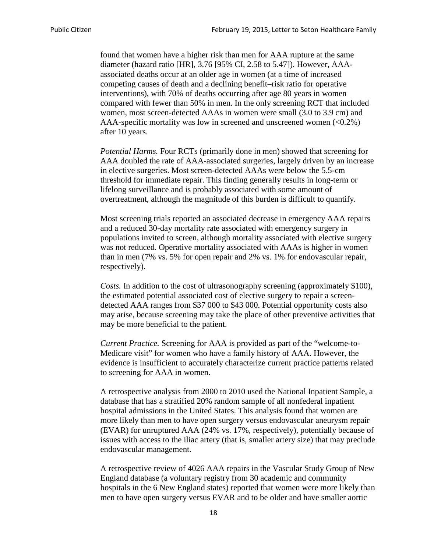found that women have a higher risk than men for AAA rupture at the same diameter (hazard ratio [HR], 3.76 [95% CI, 2.58 to 5.47]). However, AAAassociated deaths occur at an older age in women (at a time of increased competing causes of death and a declining benefit–risk ratio for operative interventions), with 70% of deaths occurring after age 80 years in women compared with fewer than 50% in men. In the only screening RCT that included women, most screen-detected AAAs in women were small (3.0 to 3.9 cm) and AAA-specific mortality was low in screened and unscreened women  $(<0.2\%)$ after 10 years.

*Potential Harms.* Four RCTs (primarily done in men) showed that screening for AAA doubled the rate of AAA-associated surgeries, largely driven by an increase in elective surgeries. Most screen-detected AAAs were below the 5.5-cm threshold for immediate repair. This finding generally results in long-term or lifelong surveillance and is probably associated with some amount of overtreatment, although the magnitude of this burden is difficult to quantify.

Most screening trials reported an associated decrease in emergency AAA repairs and a reduced 30-day mortality rate associated with emergency surgery in populations invited to screen, although mortality associated with elective surgery was not reduced. Operative mortality associated with AAAs is higher in women than in men (7% vs. 5% for open repair and 2% vs. 1% for endovascular repair, respectively).

*Costs.* In addition to the cost of ultrasonography screening (approximately \$100), the estimated potential associated cost of elective surgery to repair a screendetected AAA ranges from \$37 000 to \$43 000. Potential opportunity costs also may arise, because screening may take the place of other preventive activities that may be more beneficial to the patient.

*Current Practice.* Screening for AAA is provided as part of the "welcome-to-Medicare visit" for women who have a family history of AAA. However, the evidence is insufficient to accurately characterize current practice patterns related to screening for AAA in women.

A retrospective analysis from 2000 to 2010 used the National Inpatient Sample, a database that has a stratified 20% random sample of all nonfederal inpatient hospital admissions in the United States. This analysis found that women are more likely than men to have open surgery versus endovascular aneurysm repair (EVAR) for unruptured AAA (24% vs. 17%, respectively), potentially because of issues with access to the iliac artery (that is, smaller artery size) that may preclude endovascular management.

A retrospective review of 4026 AAA repairs in the Vascular Study Group of New England database (a voluntary registry from 30 academic and community hospitals in the 6 New England states) reported that women were more likely than men to have open surgery versus EVAR and to be older and have smaller aortic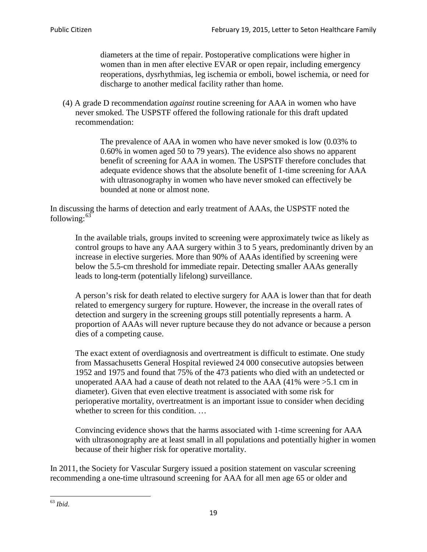diameters at the time of repair. Postoperative complications were higher in women than in men after elective EVAR or open repair, including emergency reoperations, dysrhythmias, leg ischemia or emboli, bowel ischemia, or need for discharge to another medical facility rather than home.

(4) A grade D recommendation *against* routine screening for AAA in women who have never smoked. The USPSTF offered the following rationale for this draft updated recommendation:

> The prevalence of AAA in women who have never smoked is low (0.03% to 0.60% in women aged 50 to 79 years). The evidence also shows no apparent benefit of screening for AAA in women. The USPSTF therefore concludes that adequate evidence shows that the absolute benefit of 1-time screening for AAA with ultrasonography in women who have never smoked can effectively be bounded at none or almost none.

In discussing the harms of detection and early treatment of AAAs, the USPSTF noted the following: $63$ 

In the available trials, groups invited to screening were approximately twice as likely as control groups to have any AAA surgery within 3 to 5 years, predominantly driven by an increase in elective surgeries. More than 90% of AAAs identified by screening were below the 5.5-cm threshold for immediate repair. Detecting smaller AAAs generally leads to long-term (potentially lifelong) surveillance.

A person's risk for death related to elective surgery for AAA is lower than that for death related to emergency surgery for rupture. However, the increase in the overall rates of detection and surgery in the screening groups still potentially represents a harm. A proportion of AAAs will never rupture because they do not advance or because a person dies of a competing cause.

The exact extent of overdiagnosis and overtreatment is difficult to estimate. One study from Massachusetts General Hospital reviewed 24 000 consecutive autopsies between 1952 and 1975 and found that 75% of the 473 patients who died with an undetected or unoperated AAA had a cause of death not related to the AAA (41% were >5.1 cm in diameter). Given that even elective treatment is associated with some risk for perioperative mortality, overtreatment is an important issue to consider when deciding whether to screen for this condition....

Convincing evidence shows that the harms associated with 1-time screening for AAA with ultrasonography are at least small in all populations and potentially higher in women because of their higher risk for operative mortality.

In 2011, the Society for Vascular Surgery issued a position statement on vascular screening recommending a one-time ultrasound screening for AAA for all men age 65 or older and

<span id="page-18-0"></span><sup>63</sup> *Ibid*.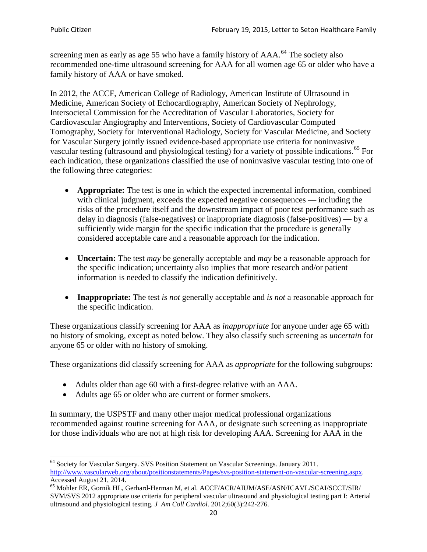screening men as early as age 55 who have a family history of AAA.<sup>[64](#page-19-0)</sup> The society also recommended one-time ultrasound screening for AAA for all women age 65 or older who have a family history of AAA or have smoked.

In 2012, the ACCF, American College of Radiology, American Institute of Ultrasound in Medicine, American Society of Echocardiography, American Society of Nephrology, Intersocietal Commission for the Accreditation of Vascular Laboratories, Society for Cardiovascular Angiography and Interventions, Society of Cardiovascular Computed Tomography, Society for Interventional Radiology, Society for Vascular Medicine, and Society for Vascular Surgery jointly issued evidence-based appropriate use criteria for noninvasive vascular testing (ultrasound and physiological testing) for a variety of possible indications.<sup>[65](#page-19-1)</sup> For each indication, these organizations classified the use of noninvasive vascular testing into one of the following three categories:

- **Appropriate:** The test is one in which the expected incremental information, combined with clinical judgment, exceeds the expected negative consequences — including the risks of the procedure itself and the downstream impact of poor test performance such as delay in diagnosis (false-negatives) or inappropriate diagnosis (false-positives) — by a sufficiently wide margin for the specific indication that the procedure is generally considered acceptable care and a reasonable approach for the indication.
- **Uncertain:** The test *may* be generally acceptable and *may* be a reasonable approach for the specific indication; uncertainty also implies that more research and/or patient information is needed to classify the indication definitively.
- **Inappropriate:** The test *is not* generally acceptable and *is not* a reasonable approach for the specific indication.

These organizations classify screening for AAA as *inappropriate* for anyone under age 65 with no history of smoking, except as noted below. They also classify such screening as *uncertain* for anyone 65 or older with no history of smoking.

These organizations did classify screening for AAA as *appropriate* for the following subgroups:

- Adults older than age 60 with a first-degree relative with an AAA.
- Adults age 65 or older who are current or former smokers.

In summary, the USPSTF and many other major medical professional organizations recommended against routine screening for AAA, or designate such screening as inappropriate for those individuals who are not at high risk for developing AAA. Screening for AAA in the

<span id="page-19-0"></span><sup>64</sup> Society for Vascular Surgery. SVS Position Statement on Vascular Screenings. January 2011. [http://www.vascularweb.org/about/positionstatements/Pages/svs-position-statement-on-vascular-screening.aspx.](http://www.vascularweb.org/about/positionstatements/Pages/svs-position-statement-on-vascular-screening.aspx) 

<span id="page-19-1"></span>Accessed August 21, 2014.<br><sup>65</sup> Mohler ER, Gornik HL, Gerhard-Herman M, et al. ACCF/ACR/AIUM/ASE/ASN/ICAVL/SCAI/SCCT/SIR/ SVM/SVS 2012 appropriate use criteria for peripheral vascular ultrasound and physiological testing part I: Arterial ultrasound and physiological testing*. J Am Coll Cardiol*. 2012;60(3):242-276.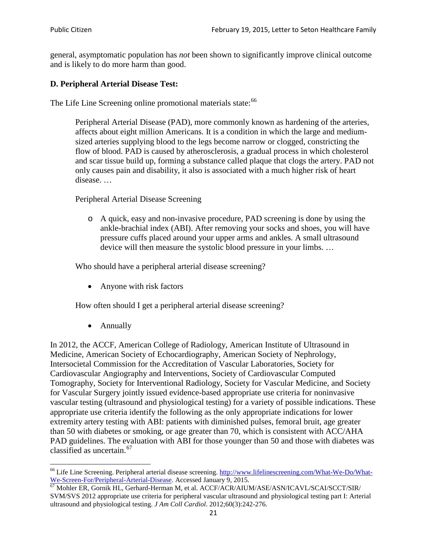general, asymptomatic population has *not* been shown to significantly improve clinical outcome and is likely to do more harm than good.

## **D. Peripheral Arterial Disease Test:**

The Life Line Screening online promotional materials state:<sup>[66](#page-20-0)</sup>

Peripheral Arterial Disease (PAD), more commonly known as hardening of the arteries, affects about eight million Americans. It is a condition in which the large and mediumsized arteries supplying blood to the legs become narrow or clogged, constricting the flow of blood. PAD is caused by atherosclerosis, a gradual process in which cholesterol and scar tissue build up, forming a substance called plaque that clogs the artery. PAD not only causes pain and disability, it also is associated with a much higher risk of heart disease. …

Peripheral Arterial Disease Screening

o A quick, easy and non-invasive procedure, PAD screening is done by using the ankle-brachial index (ABI). After removing your socks and shoes, you will have pressure cuffs placed around your upper arms and ankles. A small ultrasound device will then measure the systolic blood pressure in your limbs. …

Who should have a peripheral arterial disease screening?

• Anyone with risk factors

How often should I get a peripheral arterial disease screening?

• Annually

In 2012, the ACCF, American College of Radiology, American Institute of Ultrasound in Medicine, American Society of Echocardiography, American Society of Nephrology, Intersocietal Commission for the Accreditation of Vascular Laboratories, Society for Cardiovascular Angiography and Interventions, Society of Cardiovascular Computed Tomography, Society for Interventional Radiology, Society for Vascular Medicine, and Society for Vascular Surgery jointly issued evidence-based appropriate use criteria for noninvasive vascular testing (ultrasound and physiological testing) for a variety of possible indications. These appropriate use criteria identify the following as the only appropriate indications for lower extremity artery testing with ABI: patients with diminished pulses, femoral bruit, age greater than 50 with diabetes or smoking, or age greater than 70, which is consistent with ACC/AHA PAD guidelines. The evaluation with ABI for those younger than 50 and those with diabetes was classified as uncertain.<sup>[67](#page-20-1)</sup>

<span id="page-20-0"></span><sup>&</sup>lt;sup>66</sup> Life Line Screening. Peripheral arterial disease screening. [http://www.lifelinescreening.com/What-We-Do/What-](http://www.lifelinescreening.com/What-We-Do/What-We-Screen-For/Peripheral-Arterial-Disease)[We-Screen-For/Peripheral-Arterial-Disease.](http://www.lifelinescreening.com/What-We-Do/What-We-Screen-For/Peripheral-Arterial-Disease) Accessed January 9, 2015.<br><sup>67</sup> Mohler ER, Gornik HL, Gerhard-Herman M, et al. ACCF/ACR/AIUM/ASE/ASN/ICAVL/SCAI/SCCT/SIR/

<span id="page-20-1"></span>SVM/SVS 2012 appropriate use criteria for peripheral vascular ultrasound and physiological testing part I: Arterial ultrasound and physiological testing. *J Am Coll Cardiol*. 2012;60(3):242-276.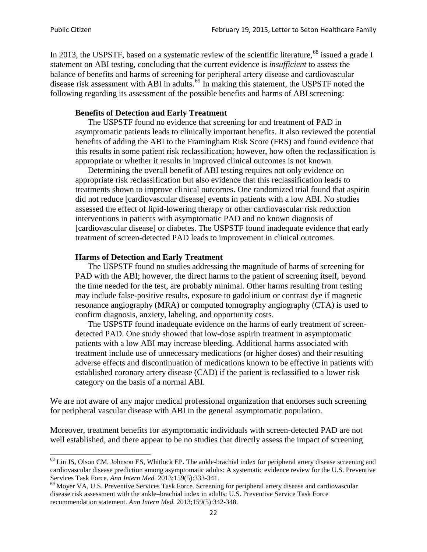In 2013, the USPSTF, based on a systematic review of the scientific literature,<sup>[68](#page-21-0)</sup> issued a grade I statement on ABI testing, concluding that the current evidence is *insufficient* to assess the balance of benefits and harms of screening for peripheral artery disease and cardiovascular disease risk assessment with ABI in adults.<sup>[69](#page-21-1)</sup> In making this statement, the USPSTF noted the following regarding its assessment of the possible benefits and harms of ABI screening:

### **Benefits of Detection and Early Treatment**

The USPSTF found no evidence that screening for and treatment of PAD in asymptomatic patients leads to clinically important benefits. It also reviewed the potential benefits of adding the ABI to the Framingham Risk Score (FRS) and found evidence that this results in some patient risk reclassification; however, how often the reclassification is appropriate or whether it results in improved clinical outcomes is not known.

Determining the overall benefit of ABI testing requires not only evidence on appropriate risk reclassification but also evidence that this reclassification leads to treatments shown to improve clinical outcomes. One randomized trial found that aspirin did not reduce [cardiovascular disease] events in patients with a low ABI. No studies assessed the effect of lipid-lowering therapy or other cardiovascular risk reduction interventions in patients with asymptomatic PAD and no known diagnosis of [cardiovascular disease] or diabetes. The USPSTF found inadequate evidence that early treatment of screen-detected PAD leads to improvement in clinical outcomes.

#### **Harms of Detection and Early Treatment**

The USPSTF found no studies addressing the magnitude of harms of screening for PAD with the ABI; however, the direct harms to the patient of screening itself, beyond the time needed for the test, are probably minimal. Other harms resulting from testing may include false-positive results, exposure to gadolinium or contrast dye if magnetic resonance angiography (MRA) or computed tomography angiography (CTA) is used to confirm diagnosis, anxiety, labeling, and opportunity costs.

The USPSTF found inadequate evidence on the harms of early treatment of screendetected PAD. One study showed that low-dose aspirin treatment in asymptomatic patients with a low ABI may increase bleeding. Additional harms associated with treatment include use of unnecessary medications (or higher doses) and their resulting adverse effects and discontinuation of medications known to be effective in patients with established coronary artery disease (CAD) if the patient is reclassified to a lower risk category on the basis of a normal ABI.

We are not aware of any major medical professional organization that endorses such screening for peripheral vascular disease with ABI in the general asymptomatic population.

Moreover, treatment benefits for asymptomatic individuals with screen-detected PAD are not well established, and there appear to be no studies that directly assess the impact of screening

<span id="page-21-0"></span><sup>&</sup>lt;sup>68</sup> Lin JS, Olson CM, Johnson ES, Whitlock EP. The ankle-brachial index for peripheral artery disease screening and cardiovascular disease prediction among asymptomatic adults: A systematic evidence review for the U.S. Preventive Services Task Force. *Ann Intern Med.* 2013;159(5):333-341.<br><sup>69</sup> Moyer VA, U.S. Preventive Services Task Force. Screening for peripheral artery disease and cardiovascular

<span id="page-21-1"></span>disease risk assessment with the ankle–brachial index in adults: U.S. Preventive Service Task Force recommendation statement. *Ann Intern Med.* 2013;159(5):342-348.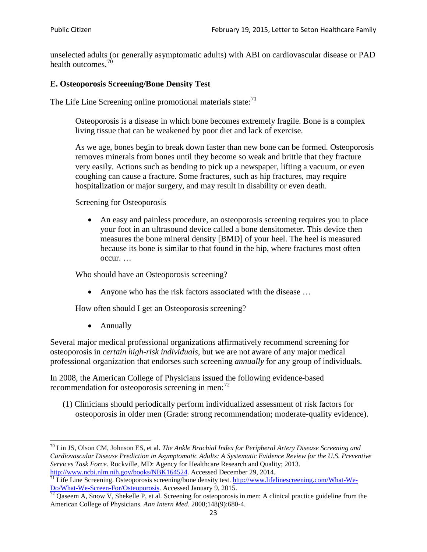unselected adults (or generally asymptomatic adults) with ABI on cardiovascular disease or PAD health outcomes.<sup>[70](#page-22-0)</sup>

## **E. Osteoporosis Screening/Bone Density Test**

The Life Line Screening online promotional materials state: $71$ 

Osteoporosis is a disease in which bone becomes extremely fragile. Bone is a complex living tissue that can be weakened by poor diet and lack of exercise.

As we age, bones begin to break down faster than new bone can be formed. Osteoporosis removes minerals from bones until they become so weak and brittle that they fracture very easily. Actions such as bending to pick up a newspaper, lifting a vacuum, or even coughing can cause a fracture. Some fractures, such as hip fractures, may require hospitalization or major surgery, and may result in disability or even death.

Screening for Osteoporosis

• An easy and painless procedure, an osteoporosis screening requires you to place your foot in an ultrasound device called a bone densitometer. This device then measures the bone mineral density [BMD] of your heel. The heel is measured because its bone is similar to that found in the hip, where fractures most often occur. …

Who should have an Osteoporosis screening?

• Anyone who has the risk factors associated with the disease ...

How often should I get an Osteoporosis screening?

• Annually

Several major medical professional organizations affirmatively recommend screening for osteoporosis in *certain high-risk individuals*, but we are not aware of any major medical professional organization that endorses such screening *annually* for any group of individuals.

In 2008, the American College of Physicians issued the following evidence-based recommendation for osteoporosis screening in men: $^{72}$  $^{72}$  $^{72}$ 

(1) Clinicians should periodically perform individualized assessment of risk factors for osteoporosis in older men (Grade: strong recommendation; moderate-quality evidence).

<span id="page-22-0"></span><sup>70</sup> [Lin JS,](http://www.ncbi.nlm.nih.gov/pubmed?term=Lin%20JS%5BAuthor%5D&cauthor=true&cauthor_uid=24156115) [Olson CM,](http://www.ncbi.nlm.nih.gov/pubmed?term=Olson%20CM%5BAuthor%5D&cauthor=true&cauthor_uid=24156115) [Johnson ES,](http://www.ncbi.nlm.nih.gov/pubmed?term=Johnson%20ES%5BAuthor%5D&cauthor=true&cauthor_uid=24156115) et al. *The Ankle Brachial Index for Peripheral Artery Disease Screening and Cardiovascular Disease Prediction in Asymptomatic Adults: A Systematic Evidence Review for the U.S. Preventive Services Task Force*. Rockville, MD: Agency for Healthcare Research and Quality; 2013.<br>http://www.ncbi.nlm.nih.gov/books/NBK164524. Accessed December 29, 2014.

<span id="page-22-1"></span> $\frac{1}{71}$  Life Line Screening. Osteoporosis screening/bone density test. [http://www.lifelinescreening.com/What-We-](http://www.lifelinescreening.com/What-We-Do/What-We-Screen-For/Osteoporosis) $\frac{Do/What-We-Screen-For/Osteoporosis}{72}$  Qaseem A, Snow V, Shekelle P, et al. Screening for osteoporosis in men: A clinical practice guideline from the

<span id="page-22-2"></span>American College of Physicians. *Ann Intern Med*. 2008;148(9):680-4.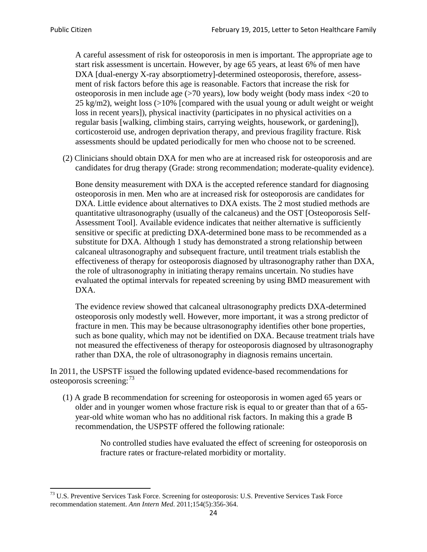A careful assessment of risk for osteoporosis in men is important. The appropriate age to start risk assessment is uncertain. However, by age 65 years, at least 6% of men have DXA [dual-energy X-ray absorptiometry]-determined osteoporosis, therefore, assessment of risk factors before this age is reasonable. Factors that increase the risk for osteoporosis in men include age (>70 years), low body weight (body mass index <20 to 25 kg/m2), weight loss  $\langle$  >10% [compared with the usual young or adult weight or weight loss in recent years]), physical inactivity (participates in no physical activities on a regular basis [walking, climbing stairs, carrying weights, housework, or gardening]), corticosteroid use, androgen deprivation therapy, and previous fragility fracture. Risk assessments should be updated periodically for men who choose not to be screened.

(2) Clinicians should obtain DXA for men who are at increased risk for osteoporosis and are candidates for drug therapy (Grade: strong recommendation; moderate-quality evidence).

Bone density measurement with DXA is the accepted reference standard for diagnosing osteoporosis in men. Men who are at increased risk for osteoporosis are candidates for DXA. Little evidence about alternatives to DXA exists. The 2 most studied methods are quantitative ultrasonography (usually of the calcaneus) and the OST [Osteoporosis Self-Assessment Tool]. Available evidence indicates that neither alternative is sufficiently sensitive or specific at predicting DXA-determined bone mass to be recommended as a substitute for DXA. Although 1 study has demonstrated a strong relationship between calcaneal ultrasonography and subsequent fracture, until treatment trials establish the effectiveness of therapy for osteoporosis diagnosed by ultrasonography rather than DXA, the role of ultrasonography in initiating therapy remains uncertain. No studies have evaluated the optimal intervals for repeated screening by using BMD measurement with DXA.

The evidence review showed that calcaneal ultrasonography predicts DXA-determined osteoporosis only modestly well. However, more important, it was a strong predictor of fracture in men. This may be because ultrasonography identifies other bone properties, such as bone quality, which may not be identified on DXA. Because treatment trials have not measured the effectiveness of therapy for osteoporosis diagnosed by ultrasonography rather than DXA, the role of ultrasonography in diagnosis remains uncertain.

In 2011, the USPSTF issued the following updated evidence-based recommendations for osteoporosis screening:<sup>[73](#page-23-0)</sup>

(1) A grade B recommendation for screening for osteoporosis in women aged 65 years or older and in younger women whose fracture risk is equal to or greater than that of a 65 year-old white woman who has no additional risk factors. In making this a grade B recommendation, the USPSTF offered the following rationale:

> No controlled studies have evaluated the effect of screening for osteoporosis on fracture rates or fracture-related morbidity or mortality.

<span id="page-23-0"></span><sup>&</sup>lt;sup>73</sup> U.S. Preventive Services Task Force. Screening for osteoporosis: U.S. Preventive Services Task Force recommendation statement. *Ann Intern Med*. 2011;154(5):356-364.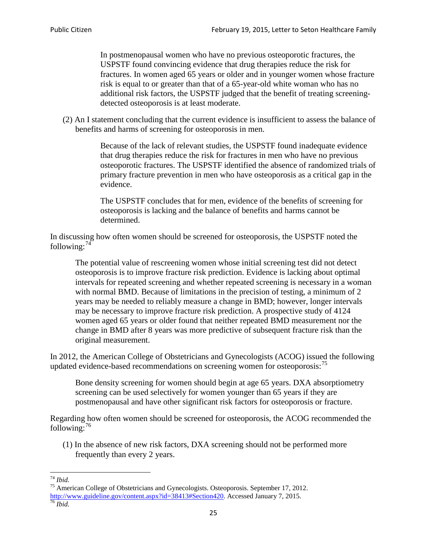In postmenopausal women who have no previous osteoporotic fractures, the USPSTF found convincing evidence that drug therapies reduce the risk for fractures. In women aged 65 years or older and in younger women whose fracture risk is equal to or greater than that of a 65-year-old white woman who has no additional risk factors, the USPSTF judged that the benefit of treating screeningdetected osteoporosis is at least moderate.

(2) An I statement concluding that the current evidence is insufficient to assess the balance of benefits and harms of screening for osteoporosis in men.

> Because of the lack of relevant studies, the USPSTF found inadequate evidence that drug therapies reduce the risk for fractures in men who have no previous osteoporotic fractures. The USPSTF identified the absence of randomized trials of primary fracture prevention in men who have osteoporosis as a critical gap in the evidence.

The USPSTF concludes that for men, evidence of the benefits of screening for osteoporosis is lacking and the balance of benefits and harms cannot be determined.

In discussing how often women should be screened for osteoporosis, the USPSTF noted the following: $74$ 

The potential value of rescreening women whose initial screening test did not detect osteoporosis is to improve fracture risk prediction. Evidence is lacking about optimal intervals for repeated screening and whether repeated screening is necessary in a woman with normal BMD. Because of limitations in the precision of testing, a minimum of 2 years may be needed to reliably measure a change in BMD; however, longer intervals may be necessary to improve fracture risk prediction. A prospective study of 4124 women aged 65 years or older found that neither repeated BMD measurement nor the change in BMD after 8 years was more predictive of subsequent fracture risk than the original measurement.

In 2012, the American College of Obstetricians and Gynecologists (ACOG) issued the following updated evidence-based recommendations on screening women for osteoporosis:<sup>[75](#page-24-1)</sup>

Bone density screening for women should begin at age 65 years. DXA absorptiometry screening can be used selectively for women younger than 65 years if they are postmenopausal and have other significant risk factors for osteoporosis or fracture.

Regarding how often women should be screened for osteoporosis, the ACOG recommended the following: $^{76}$  $^{76}$  $^{76}$ 

(1) In the absence of new risk factors, DXA screening should not be performed more frequently than every 2 years.

<span id="page-24-2"></span><span id="page-24-1"></span><span id="page-24-0"></span><sup>74</sup> *Ibid.* <sup>75</sup> American College of Obstetricians and Gynecologists. Osteoporosis. September 17, 2012. [http://www.guideline.gov/content.aspx?id=38413#Section420.](http://www.guideline.gov/content.aspx?id=38413#Section420) Accessed January 7, 2015.<br><sup>76</sup> *Ibid.*